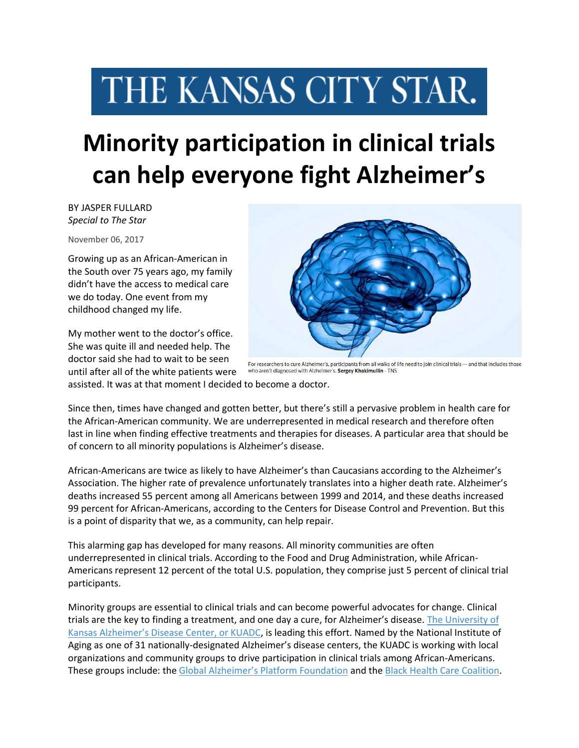## THE KANSAS CITY STAR.

## **Minority participation in clinical trials can help everyone fight Alzheimer's**

BY JASPER FULLARD *Special to The Star*

November 06, 2017

Growing up as an African-American in the South over 75 years ago, my family didn't have the access to medical care we do today. One event from my childhood changed my life.

My mother went to the doctor's office. She was quite ill and needed help. The doctor said she had to wait to be seen until after all of the white patients were



For researchers to cure Alzheimer's, participants from all walks of life need to join clinical trials — and that includes those who aren't diagnosed with Alzheimer's. Sergey Khakimullin - TNS

assisted. It was at that moment I decided to become a doctor.

Since then, times have changed and gotten better, but there's still a pervasive problem in health care for the African-American community. We are underrepresented in medical research and therefore often last in line when finding effective treatments and therapies for diseases. A particular area that should be of concern to all minority populations is Alzheimer's disease.

African-Americans are twice as likely to have Alzheimer's than Caucasians according to the Alzheimer's Association. The higher rate of prevalence unfortunately translates into a higher death rate. Alzheimer's deaths increased 55 percent among all Americans between 1999 and 2014, and these deaths increased 99 percent for African-Americans, according to the Centers for Disease Control and Prevention. But this is a point of disparity that we, as a community, can help repair.

This alarming gap has developed for many reasons. All minority communities are often underrepresented in clinical trials. According to the Food and Drug Administration, while African-Americans represent 12 percent of the total U.S. population, they comprise just 5 percent of clinical trial participants.

Minority groups are essential to clinical trials and can become powerful advocates for change. Clinical trials are the key to finding a treatment, and one day a cure, for Alzheimer's disease. [The University of](http://www.kualzheimer.org/)  [Kansas Alzheimer's Disease Center, or KUADC](http://www.kualzheimer.org/), is leading this effort. Named by the National Institute of Aging as one of 31 nationally-designated Alzheimer's disease centers, the KUADC is working with local organizations and community groups to drive participation in clinical trials among African-Americans. These groups include: the [Global Alzheimer's Platform Foundation](http://globalalzplatform.org/) and the [Black Health Care Coalition.](http://www.bhcckc.org/)